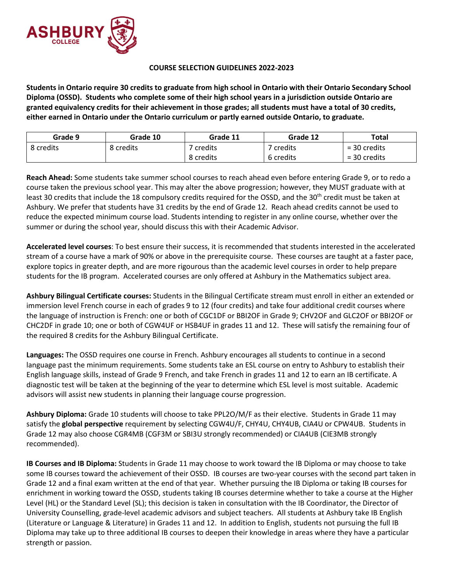

## **COURSE SELECTION GUIDELINES 2022-2023**

**Students in Ontario require 30 credits to graduate from high school in Ontario with their Ontario Secondary School Diploma (OSSD). Students who complete some of their high school years in a jurisdiction outside Ontario are granted equivalency credits for their achievement in those grades; all students must have a total of 30 credits, either earned in Ontario under the Ontario curriculum or partly earned outside Ontario, to graduate.**

| Grade 9   | Grade 10  | Grade 11  | Grade 12  | Total          |
|-----------|-----------|-----------|-----------|----------------|
| 8 credits | 8 credits | `credits  | ' credits | $=$ 30 credits |
|           |           | 8 credits | 6 credits | $=$ 30 credits |

**Reach Ahead:** Some students take summer school courses to reach ahead even before entering Grade 9, or to redo a course taken the previous school year. This may alter the above progression; however, they MUST graduate with at least 30 credits that include the 18 compulsory credits required for the OSSD, and the 30<sup>th</sup> credit must be taken at Ashbury. We prefer that students have 31 credits by the end of Grade 12. Reach ahead credits cannot be used to reduce the expected minimum course load. Students intending to register in any online course, whether over the summer or during the school year, should discuss this with their Academic Advisor.

**Accelerated level courses**: To best ensure their success, it is recommended that students interested in the accelerated stream of a course have a mark of 90% or above in the prerequisite course. These courses are taught at a faster pace, explore topics in greater depth, and are more rigourous than the academic level courses in order to help prepare students for the IB program. Accelerated courses are only offered at Ashbury in the Mathematics subject area.

**Ashbury Bilingual Certificate courses:** Students in the Bilingual Certificate stream must enroll in either an extended or immersion level French course in each of grades 9 to 12 (four credits) and take four additional credit courses where the language of instruction is French: one or both of CGC1DF or BBI2OF in Grade 9; CHV2OF and GLC2OF or BBI2OF or CHC2DF in grade 10; one or both of CGW4UF or HSB4UF in grades 11 and 12. These will satisfy the remaining four of the required 8 credits for the Ashbury Bilingual Certificate.

**Languages:** The OSSD requires one course in French. Ashbury encourages all students to continue in a second language past the minimum requirements. Some students take an ESL course on entry to Ashbury to establish their English language skills, instead of Grade 9 French, and take French in grades 11 and 12 to earn an IB certificate. A diagnostic test will be taken at the beginning of the year to determine which ESL level is most suitable. Academic advisors will assist new students in planning their language course progression.

**Ashbury Diploma:** Grade 10 students will choose to take PPL2O/M/F as their elective. Students in Grade 11 may satisfy the **global perspective** requirement by selecting CGW4U/F, CHY4U, CHY4UB, CIA4U or CPW4UB. Students in Grade 12 may also choose CGR4MB (CGF3M or SBI3U strongly recommended) or CIA4UB (CIE3MB strongly recommended).

**IB Courses and IB Diploma:** Students in Grade 11 may choose to work toward the IB Diploma or may choose to take some IB courses toward the achievement of their OSSD. IB courses are two-year courses with the second part taken in Grade 12 and a final exam written at the end of that year. Whether pursuing the IB Diploma or taking IB courses for enrichment in working toward the OSSD, students taking IB courses determine whether to take a course at the Higher Level (HL) or the Standard Level (SL); this decision is taken in consultation with the IB Coordinator, the Director of University Counselling, grade-level academic advisors and subject teachers. All students at Ashbury take IB English (Literature or Language & Literature) in Grades 11 and 12. In addition to English, students not pursuing the full IB Diploma may take up to three additional IB courses to deepen their knowledge in areas where they have a particular strength or passion.